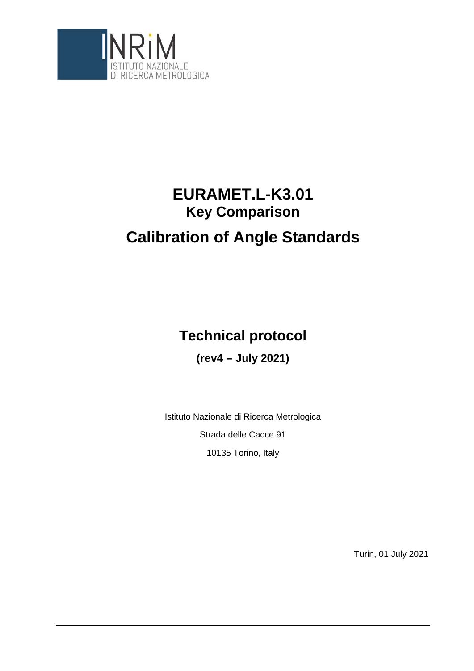

# **EURAMET.L-K3.01 Key Comparison Calibration of Angle Standards**

## **Technical protocol**

**(rev4 – July 2021)**

Istituto Nazionale di Ricerca Metrologica Strada delle Cacce 91 10135 Torino, Italy

Turin, 01 July 2021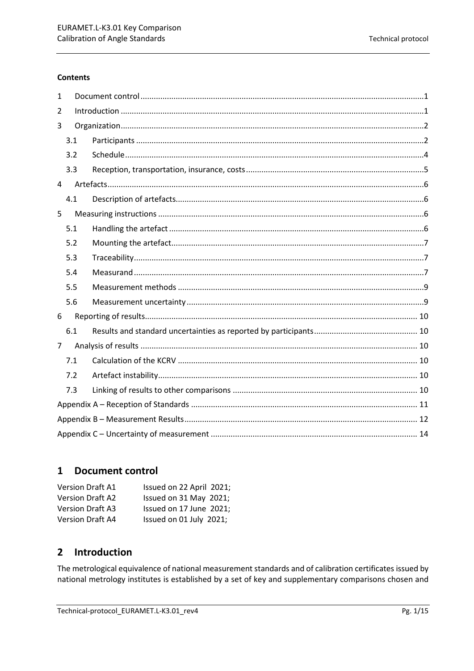#### **Contents**

| $\mathbf{1}$   |     |  |  |  |  |
|----------------|-----|--|--|--|--|
| 2              |     |  |  |  |  |
| 3              |     |  |  |  |  |
|                | 3.1 |  |  |  |  |
|                | 3.2 |  |  |  |  |
|                | 3.3 |  |  |  |  |
| $\overline{4}$ |     |  |  |  |  |
|                | 4.1 |  |  |  |  |
| 5              |     |  |  |  |  |
|                | 5.1 |  |  |  |  |
|                | 5.2 |  |  |  |  |
|                | 5.3 |  |  |  |  |
|                | 5.4 |  |  |  |  |
|                | 5.5 |  |  |  |  |
|                | 5.6 |  |  |  |  |
| 6              |     |  |  |  |  |
|                | 6.1 |  |  |  |  |
| $\overline{7}$ |     |  |  |  |  |
|                | 7.1 |  |  |  |  |
|                | 7.2 |  |  |  |  |
|                | 7.3 |  |  |  |  |
|                |     |  |  |  |  |
|                |     |  |  |  |  |
|                |     |  |  |  |  |

## <span id="page-1-0"></span>1 Document control

| <b>Version Draft A1</b> | Issued on 22 April 2021; |
|-------------------------|--------------------------|
| <b>Version Draft A2</b> | Issued on 31 May 2021;   |
| <b>Version Draft A3</b> | Issued on 17 June 2021;  |
| <b>Version Draft A4</b> | Issued on 01 July 2021;  |

#### <span id="page-1-1"></span>Introduction  $\overline{2}$

The metrological equivalence of national measurement standards and of calibration certificates issued by national metrology institutes is established by a set of key and supplementary comparisons chosen and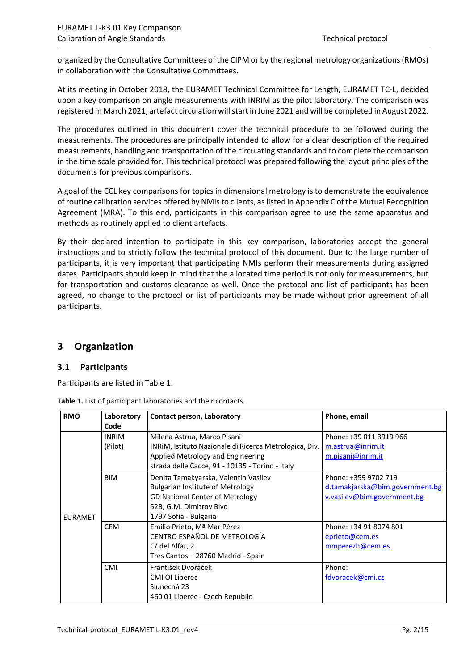organized by the Consultative Committees of the CIPM or by the regional metrology organizations(RMOs) in collaboration with the Consultative Committees.

At its meeting in October 2018, the EURAMET Technical Committee for Length, EURAMET TC-L, decided upon a key comparison on angle measurements with INRIM as the pilot laboratory. The comparison was registered in March 2021, artefact circulation will start in June 2021 and will be completed in August 2022.

The procedures outlined in this document cover the technical procedure to be followed during the measurements. The procedures are principally intended to allow for a clear description of the required measurements, handling and transportation of the circulating standards and to complete the comparison in the time scale provided for. This technical protocol was prepared following the layout principles of the documents for previous comparisons.

A goal of the CCL key comparisons for topics in dimensional metrology is to demonstrate the equivalence of routine calibration services offered by NMIs to clients, as listed in Appendix C of the Mutual Recognition Agreement (MRA). To this end, participants in this comparison agree to use the same apparatus and methods as routinely applied to client artefacts.

By their declared intention to participate in this key comparison, laboratories accept the general instructions and to strictly follow the technical protocol of this document. Due to the large number of participants, it is very important that participating NMIs perform their measurements during assigned dates. Participants should keep in mind that the allocated time period is not only for measurements, but for transportation and customs clearance as well. Once the protocol and list of participants has been agreed, no change to the protocol or list of participants may be made without prior agreement of all participants.

## <span id="page-2-0"></span>**3 Organization**

### <span id="page-2-1"></span>**3.1 Participants**

Participants are listed in Table 1.

| Table 1. List of participant laboratories and their contacts. |
|---------------------------------------------------------------|
|---------------------------------------------------------------|

| <b>RMO</b>     | Laboratory   | Contact person, Laboratory                             | Phone, email                    |
|----------------|--------------|--------------------------------------------------------|---------------------------------|
|                | Code         |                                                        |                                 |
|                | <b>INRIM</b> | Milena Astrua, Marco Pisani                            | Phone: +39 011 3919 966         |
|                | (Pilot)      | INRIM, Istituto Nazionale di Ricerca Metrologica, Div. | m.astrua@inrim.it               |
|                |              | Applied Metrology and Engineering                      | m.pisani@inrim.it               |
|                |              | strada delle Cacce, 91 - 10135 - Torino - Italy        |                                 |
|                | <b>BIM</b>   | Denita Tamakyarska, Valentin Vasilev                   | Phone: +359 9702 719            |
|                |              | <b>Bulgarian Institute of Metrology</b>                | d.tamakjarska@bim.government.bg |
|                |              | <b>GD National Center of Metrology</b>                 | v.vasilev@bim.government.bg     |
|                |              | 52B, G.M. Dimitrov Blvd                                |                                 |
| <b>EURAMET</b> |              | 1797 Sofia - Bulgaria                                  |                                 |
|                | <b>CEM</b>   | Emilio Prieto, Mª Mar Pérez                            | Phone: +34 91 8074 801          |
|                |              | CENTRO ESPAÑOL DE METROLOGÍA                           | eprieto@cem.es                  |
|                |              | C/ del Alfar, 2                                        | mmperezh@cem.es                 |
|                |              | Tres Cantos – 28760 Madrid - Spain                     |                                 |
|                | <b>CMI</b>   | František Dvořáček                                     | Phone:                          |
|                |              | CMI OI Liberec                                         | fdvoracek@cmi.cz                |
|                |              | Slunecná 23                                            |                                 |
|                |              | 460 01 Liberec - Czech Republic                        |                                 |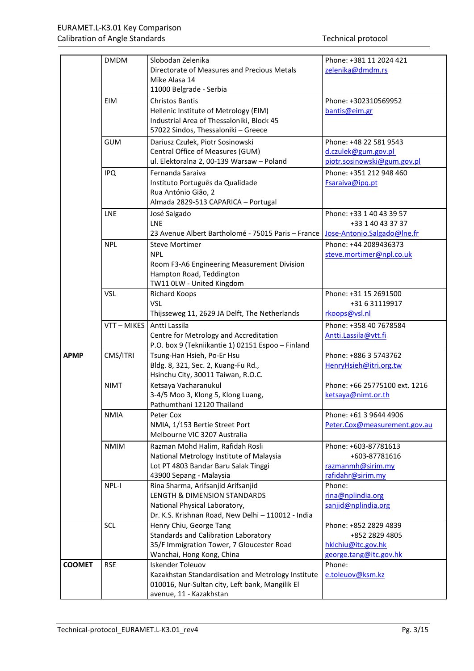|               | <b>DMDM</b> | Slobodan Zelenika                                  | Phone: +381 11 2024 421       |
|---------------|-------------|----------------------------------------------------|-------------------------------|
|               |             | Directorate of Measures and Precious Metals        | zelenika@dmdm.rs              |
|               |             | Mike Alasa 14                                      |                               |
|               |             | 11000 Belgrade - Serbia                            |                               |
|               | <b>EIM</b>  | <b>Christos Bantis</b>                             | Phone: +302310569952          |
|               |             | Hellenic Institute of Metrology (EIM)              | bantis@eim.gr                 |
|               |             | Industrial Area of Thessaloniki, Block 45          |                               |
|               |             | 57022 Sindos, Thessaloniki - Greece                |                               |
|               | <b>GUM</b>  | Dariusz Czułek, Piotr Sosinowski                   | Phone: +48 22 581 9543        |
|               |             | Central Office of Measures (GUM)                   | d.czulek@gum.gov.pl           |
|               |             | ul. Elektoralna 2, 00-139 Warsaw - Poland          | piotr.sosinowski@gum.gov.pl   |
|               | <b>IPQ</b>  | Fernanda Saraiva                                   | Phone: +351 212 948 460       |
|               |             | Instituto Português da Qualidade                   | Fsaraiva@ipq.pt               |
|               |             | Rua António Gião, 2                                |                               |
|               |             | Almada 2829-513 CAPARICA - Portugal                |                               |
|               |             |                                                    |                               |
|               | LNE         | José Salgado                                       | Phone: +33 1 40 43 39 57      |
|               |             | LNE                                                | +33 1 40 43 37 37             |
|               |             | 23 Avenue Albert Bartholomé - 75015 Paris - France | Jose-Antonio.Salgado@lne.fr   |
|               | <b>NPL</b>  | <b>Steve Mortimer</b>                              | Phone: +44 2089436373         |
|               |             | <b>NPL</b>                                         | steve.mortimer@npl.co.uk      |
|               |             | Room F3-A6 Engineering Measurement Division        |                               |
|               |             | Hampton Road, Teddington                           |                               |
|               |             | TW11 OLW - United Kingdom                          |                               |
|               | <b>VSL</b>  | <b>Richard Koops</b>                               | Phone: +31 15 2691500         |
|               |             | <b>VSL</b>                                         | +31 6 31119917                |
|               |             | Thijsseweg 11, 2629 JA Delft, The Netherlands      | rkoops@vsl.nl                 |
|               | VTT-MIKES   | Antti Lassila                                      | Phone: +358 40 7678584        |
|               |             | Centre for Metrology and Accreditation             | Antti.Lassila@vtt.fi          |
|               |             | P.O. box 9 (Tekniikantie 1) 02151 Espoo - Finland  |                               |
| <b>APMP</b>   | CMS/ITRI    | Tsung-Han Hsieh, Po-Er Hsu                         | Phone: +886 3 5743762         |
|               |             | Bldg. 8, 321, Sec. 2, Kuang-Fu Rd.,                | HenryHsieh@itri.org.tw        |
|               |             | Hsinchu City, 30011 Taiwan, R.O.C.                 |                               |
|               | <b>NIMT</b> | Ketsaya Vacharanukul                               | Phone: +66 25775100 ext. 1216 |
|               |             | 3-4/5 Moo 3, Klong 5, Klong Luang,                 | ketsaya@nimt.or.th            |
|               |             | Pathumthani 12120 Thailand                         |                               |
|               | <b>NMIA</b> | Peter Cox                                          | Phone: +61 3 9644 4906        |
|               |             | NMIA, 1/153 Bertie Street Port                     | Peter.Cox@measurement.gov.au  |
|               |             | Melbourne VIC 3207 Australia                       |                               |
|               | <b>NMIM</b> | Razman Mohd Halim, Rafidah Rosli                   | Phone: +603-87781613          |
|               |             | National Metrology Institute of Malaysia           | +603-87781616                 |
|               |             | Lot PT 4803 Bandar Baru Salak Tinggi               | razmanmh@sirim.my             |
|               |             | 43900 Sepang - Malaysia                            | rafidahr@sirim.my             |
|               | NPL-I       | Rina Sharma, Arifsanjid Arifsanjid                 | Phone:                        |
|               |             | LENGTH & DIMENSION STANDARDS                       | rina@nplindia.org             |
|               |             | National Physical Laboratory,                      | sanjid@nplindia.org           |
|               |             | Dr. K.S. Krishnan Road, New Delhi - 110012 - India |                               |
|               | <b>SCL</b>  | Henry Chiu, George Tang                            | Phone: +852 2829 4839         |
|               |             | Standards and Calibration Laboratory               | +852 2829 4805                |
|               |             | 35/F Immigration Tower, 7 Gloucester Road          | hklchiu@itc.gov.hk            |
|               |             | Wanchai, Hong Kong, China                          | george.tang@itc.gov.hk        |
| <b>COOMET</b> | <b>RSE</b>  | <b>Iskender Toleuov</b>                            | Phone:                        |
|               |             | Kazakhstan Standardisation and Metrology Institute | e.toleuov@ksm.kz              |
|               |             | 010016, Nur-Sultan city, Left bank, Mangilik El    |                               |
|               |             | avenue, 11 - Kazakhstan                            |                               |
|               |             |                                                    |                               |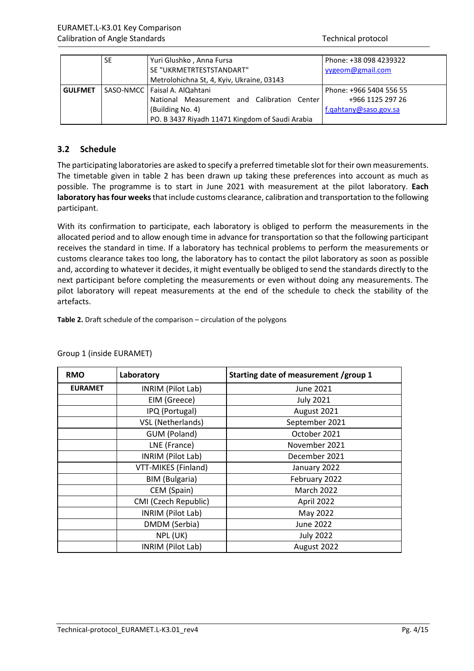|                | SE. | Yuri Glushko, Anna Fursa                        | Phone: +38 098 4239322  |
|----------------|-----|-------------------------------------------------|-------------------------|
|                |     | SE "UKRMETRTESTSTANDART"                        | yygeom@gmail.com        |
|                |     | Metrolohichna St, 4, Kyiv, Ukraine, 03143       |                         |
| <b>GULFMET</b> |     | SASO-NMCC   Faisal A. AlQahtani                 | Phone: +966 5404 556 55 |
|                |     | National Measurement and Calibration Center     | +966 1125 297 26        |
|                |     | (Building No. 4)                                | f.qahtany@saso.gov.sa   |
|                |     | PO. B 3437 Riyadh 11471 Kingdom of Saudi Arabia |                         |

### <span id="page-4-0"></span>**3.2 Schedule**

The participating laboratories are asked to specify a preferred timetable slot for their own measurements. The timetable given in table 2 has been drawn up taking these preferences into account as much as possible. The programme is to start in June 2021 with measurement at the pilot laboratory. **Each laboratory has four weeks**that include customs clearance, calibration and transportation to the following participant.

With its confirmation to participate, each laboratory is obliged to perform the measurements in the allocated period and to allow enough time in advance for transportation so that the following participant receives the standard in time. If a laboratory has technical problems to perform the measurements or customs clearance takes too long, the laboratory has to contact the pilot laboratory as soon as possible and, according to whatever it decides, it might eventually be obliged to send the standards directly to the next participant before completing the measurements or even without doing any measurements. The pilot laboratory will repeat measurements at the end of the schedule to check the stability of the artefacts.

**Table 2.** Draft schedule of the comparison – circulation of the polygons

| <b>RMO</b>     | Laboratory           | Starting date of measurement /group 1 |
|----------------|----------------------|---------------------------------------|
| <b>EURAMET</b> | INRIM (Pilot Lab)    | June 2021                             |
|                | EIM (Greece)         | <b>July 2021</b>                      |
|                | IPQ (Portugal)       | August 2021                           |
|                | VSL (Netherlands)    | September 2021                        |
|                | GUM (Poland)         | October 2021                          |
|                | LNE (France)         | November 2021                         |
|                | INRIM (Pilot Lab)    | December 2021                         |
|                | VTT-MIKES (Finland)  | January 2022                          |
|                | BIM (Bulgaria)       | February 2022                         |
|                | CEM (Spain)          | <b>March 2022</b>                     |
|                | CMI (Czech Republic) | April 2022                            |
|                | INRIM (Pilot Lab)    | May 2022                              |
|                | DMDM (Serbia)        | June 2022                             |
|                | NPL (UK)             | <b>July 2022</b>                      |
|                | INRIM (Pilot Lab)    | August 2022                           |

#### Group 1 (inside EURAMET)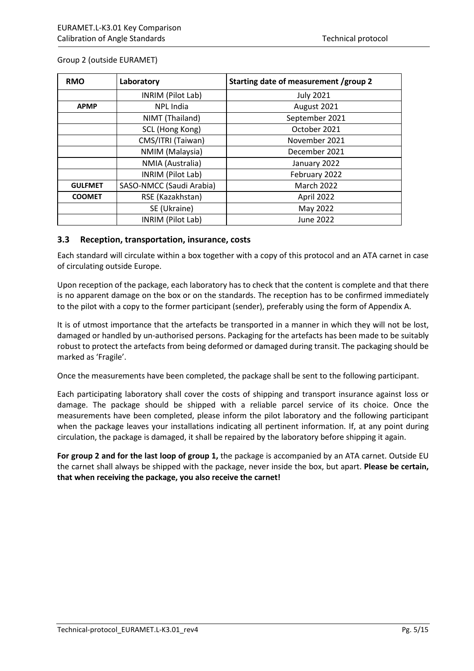| <b>RMO</b>     | Laboratory               | Starting date of measurement /group 2 |
|----------------|--------------------------|---------------------------------------|
|                | INRIM (Pilot Lab)        | <b>July 2021</b>                      |
| <b>APMP</b>    | NPL India                | August 2021                           |
|                | NIMT (Thailand)          | September 2021                        |
|                | SCL (Hong Kong)          | October 2021                          |
|                | CMS/ITRI (Taiwan)        | November 2021                         |
|                | NMIM (Malaysia)          | December 2021                         |
|                | NMIA (Australia)         | January 2022                          |
|                | INRIM (Pilot Lab)        | February 2022                         |
| <b>GULFMET</b> | SASO-NMCC (Saudi Arabia) | <b>March 2022</b>                     |
| <b>COOMET</b>  | RSE (Kazakhstan)         | April 2022                            |
|                | SE (Ukraine)             | May 2022                              |
|                | INRIM (Pilot Lab)        | June 2022                             |

#### Group 2 (outside EURAMET)

#### <span id="page-5-0"></span>**3.3 Reception, transportation, insurance, costs**

Each standard will circulate within a box together with a copy of this protocol and an ATA carnet in case of circulating outside Europe.

Upon reception of the package, each laboratory has to check that the content is complete and that there is no apparent damage on the box or on the standards. The reception has to be confirmed immediately to the pilot with a copy to the former participant (sender), preferably using the form of Appendix A.

It is of utmost importance that the artefacts be transported in a manner in which they will not be lost, damaged or handled by un-authorised persons. Packaging for the artefacts has been made to be suitably robust to protect the artefacts from being deformed or damaged during transit. The packaging should be marked as 'Fragile'.

Once the measurements have been completed, the package shall be sent to the following participant.

Each participating laboratory shall cover the costs of shipping and transport insurance against loss or damage. The package should be shipped with a reliable parcel service of its choice. Once the measurements have been completed, please inform the pilot laboratory and the following participant when the package leaves your installations indicating all pertinent information. If, at any point during circulation, the package is damaged, it shall be repaired by the laboratory before shipping it again.

**For group 2 and for the last loop of group 1,** the package is accompanied by an ATA carnet. Outside EU the carnet shall always be shipped with the package, never inside the box, but apart. **Please be certain, that when receiving the package, you also receive the carnet!**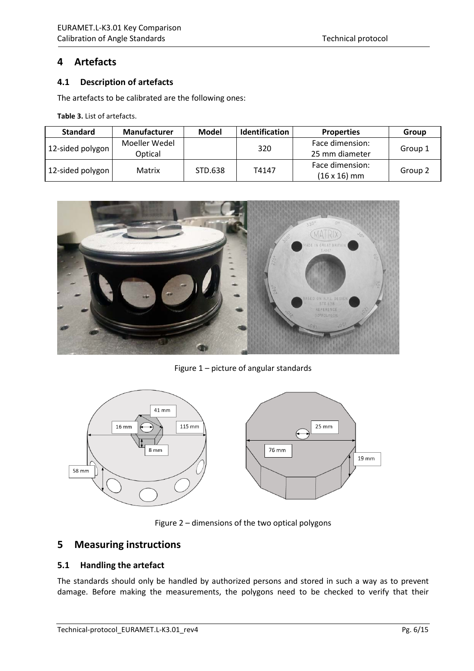## <span id="page-6-0"></span>**4 Artefacts**

#### <span id="page-6-1"></span>**4.1 Description of artefacts**

The artefacts to be calibrated are the following ones:

**Table 3.** List of artefacts.

| <b>Standard</b>  | <b>Manufacturer</b>      | Model   | <b>Identification</b> | <b>Properties</b>                      | Group   |
|------------------|--------------------------|---------|-----------------------|----------------------------------------|---------|
| 12-sided polygon | Moeller Wedel<br>Optical |         | 320                   | Face dimension:<br>25 mm diameter      | Group 1 |
| 12-sided polygon | Matrix                   | STD.638 | T4147                 | Face dimension:<br>$(16 \times 16)$ mm | Group 2 |



Figure 1 – picture of angular standards



Figure 2 – dimensions of the two optical polygons

### <span id="page-6-2"></span>**5 Measuring instructions**

#### <span id="page-6-3"></span>**5.1 Handling the artefact**

The standards should only be handled by authorized persons and stored in such a way as to prevent damage. Before making the measurements, the polygons need to be checked to verify that their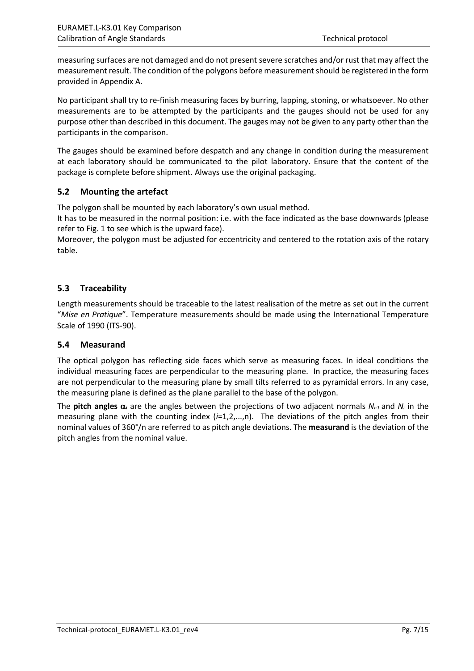measuring surfaces are not damaged and do not present severe scratches and/or rust that may affect the measurement result. The condition of the polygons before measurement should be registered in the form provided in Appendix A.

No participant shall try to re-finish measuring faces by burring, lapping, stoning, or whatsoever. No other measurements are to be attempted by the participants and the gauges should not be used for any purpose other than described in this document. The gauges may not be given to any party other than the participants in the comparison.

The gauges should be examined before despatch and any change in condition during the measurement at each laboratory should be communicated to the pilot laboratory. Ensure that the content of the package is complete before shipment. Always use the original packaging.

### <span id="page-7-0"></span>**5.2 Mounting the artefact**

The polygon shall be mounted by each laboratory's own usual method.

It has to be measured in the normal position: i.e. with the face indicated as the base downwards (please refer to Fig. 1 to see which is the upward face).

Moreover, the polygon must be adjusted for eccentricity and centered to the rotation axis of the rotary table.

#### <span id="page-7-1"></span>**5.3 Traceability**

Length measurements should be traceable to the latest realisation of the metre as set out in the current "*Mise en Pratique*". Temperature measurements should be made using the International Temperature Scale of 1990 (ITS-90).

#### <span id="page-7-2"></span>**5.4 Measurand**

The optical polygon has reflecting side faces which serve as measuring faces. In ideal conditions the individual measuring faces are perpendicular to the measuring plane. In practice, the measuring faces are not perpendicular to the measuring plane by small tilts referred to as pyramidal errors. In any case, the measuring plane is defined as the plane parallel to the base of the polygon.

The **pitch angles** α*<sup>i</sup>* are the angles between the projections of two adjacent normals *Ni-1* and *Ni* in the measuring plane with the counting index (*i*=1,2,...,n). The deviations of the pitch angles from their nominal values of 360°/n are referred to as pitch angle deviations. The **measurand** is the deviation of the pitch angles from the nominal value.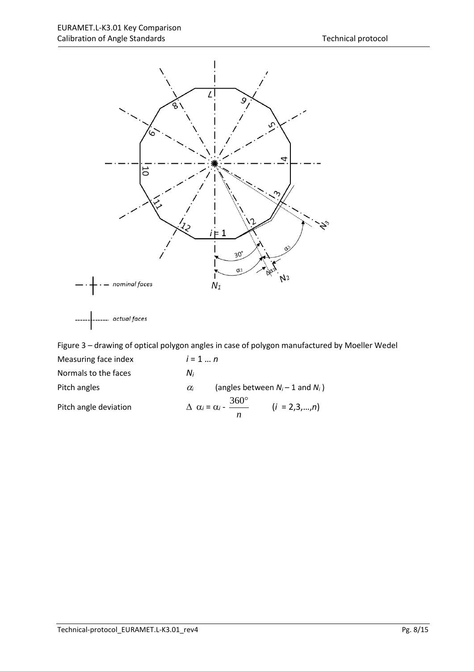

Figure 3 – drawing of optical polygon angles in case of polygon manufactured by Moeller Wedel Measuring face index *i* = 1 … *n* Normals to the faces *Ni* Pitch angles **a** *Oi* **a** (angles between  $N_i - 1$  and  $N_i$ ) Pitch angle deviation  $\Delta \alpha_i = \alpha_i - \frac{360^\circ}{n}$   $(i = 2,3,...,n)$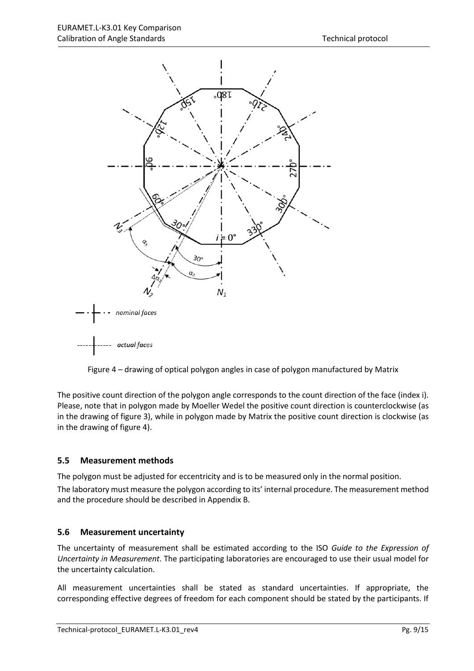

Figure 4 – drawing of optical polygon angles in case of polygon manufactured by Matrix

The positive count direction of the polygon angle corresponds to the count direction of the face (index i). Please, note that in polygon made by Moeller Wedel the positive count direction is counterclockwise (as in the drawing of figure 3), while in polygon made by Matrix the positive count direction is clockwise (as in the drawing of figure 4).

#### <span id="page-9-0"></span>**5.5 Measurement methods**

The polygon must be adjusted for eccentricity and is to be measured only in the normal position.

The laboratory must measure the polygon according to its' internal procedure. The measurement method and the procedure should be described in Appendix B.

#### <span id="page-9-1"></span>**5.6 Measurement uncertainty**

The uncertainty of measurement shall be estimated according to the ISO *Guide to the Expression of Uncertainty in Measurement*. The participating laboratories are encouraged to use their usual model for the uncertainty calculation.

All measurement uncertainties shall be stated as standard uncertainties. If appropriate, the corresponding effective degrees of freedom for each component should be stated by the participants. If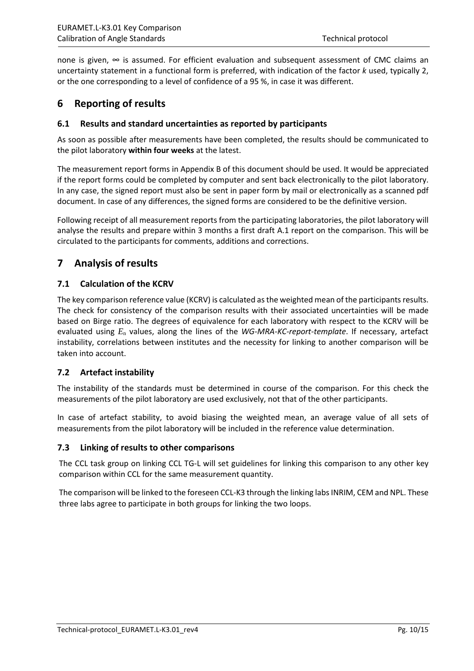none is given, ∞ is assumed. For efficient evaluation and subsequent assessment of CMC claims an uncertainty statement in a functional form is preferred, with indication of the factor *k* used, typically 2, or the one corresponding to a level of confidence of a 95 %, in case it was different.

## <span id="page-10-0"></span>**6 Reporting of results**

#### <span id="page-10-1"></span>**6.1 Results and standard uncertainties as reported by participants**

As soon as possible after measurements have been completed, the results should be communicated to the pilot laboratory **within four weeks** at the latest.

The measurement report forms in Appendix B of this document should be used. It would be appreciated if the report forms could be completed by computer and sent back electronically to the pilot laboratory. In any case, the signed report must also be sent in paper form by mail or electronically as a scanned pdf document. In case of any differences, the signed forms are considered to be the definitive version.

Following receipt of all measurement reports from the participating laboratories, the pilot laboratory will analyse the results and prepare within 3 months a first draft A.1 report on the comparison. This will be circulated to the participants for comments, additions and corrections.

## <span id="page-10-2"></span>**7 Analysis of results**

#### <span id="page-10-3"></span>**7.1 Calculation of the KCRV**

The key comparison reference value (KCRV) is calculated as the weighted mean of the participants results. The check for consistency of the comparison results with their associated uncertainties will be made based on Birge ratio. The degrees of equivalence for each laboratory with respect to the KCRV will be evaluated using *E*<sup>n</sup> values, along the lines of the *WG-MRA-KC-report-template*. If necessary, artefact instability, correlations between institutes and the necessity for linking to another comparison will be taken into account.

### <span id="page-10-4"></span>**7.2 Artefact instability**

The instability of the standards must be determined in course of the comparison. For this check the measurements of the pilot laboratory are used exclusively, not that of the other participants.

In case of artefact stability, to avoid biasing the weighted mean, an average value of all sets of measurements from the pilot laboratory will be included in the reference value determination.

#### <span id="page-10-5"></span>**7.3 Linking of results to other comparisons**

The CCL task group on linking CCL TG-L will set guidelines for linking this comparison to any other key comparison within CCL for the same measurement quantity.

<span id="page-10-6"></span>The comparison will be linked to the foreseen CCL-K3 through the linking labs INRIM, CEM and NPL. These three labs agree to participate in both groups for linking the two loops.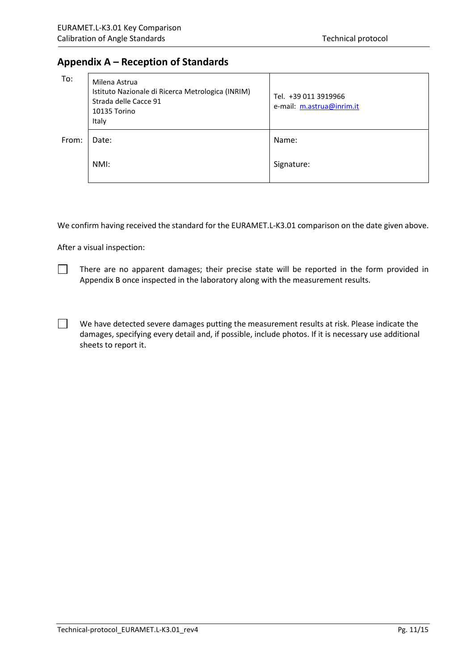## **Appendix A – Reception of Standards**

| To:   | Milena Astrua<br>Istituto Nazionale di Ricerca Metrologica (INRIM)<br>Strada delle Cacce 91<br>10135 Torino<br>Italy | Tel. +39 011 3919966<br>e-mail: m.astrua@inrim.it |
|-------|----------------------------------------------------------------------------------------------------------------------|---------------------------------------------------|
| From: | Date:                                                                                                                | Name:                                             |
|       | NMI:                                                                                                                 | Signature:                                        |

We confirm having received the standard for the EURAMET.L-K3.01 comparison on the date given above.

After a visual inspection:

 $\Box$ 

 $\perp$ 

There are no apparent damages; their precise state will be reported in the form provided in Appendix B once inspected in the laboratory along with the measurement results.

We have detected severe damages putting the measurement results at risk. Please indicate the damages, specifying every detail and, if possible, include photos. If it is necessary use additional sheets to report it.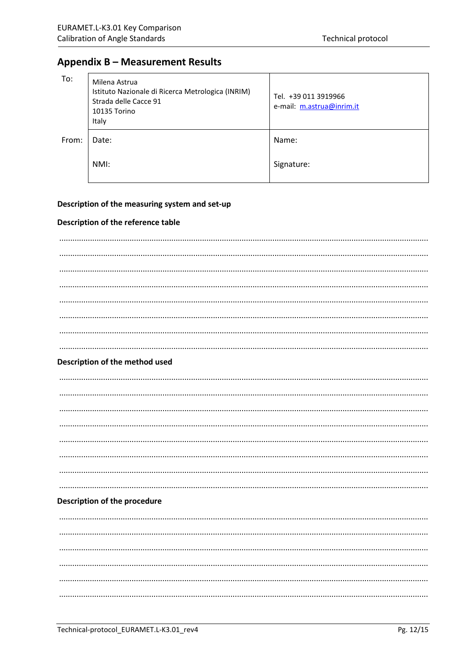## <span id="page-12-0"></span>**Appendix B - Measurement Results**

| To:   | Milena Astrua<br>Istituto Nazionale di Ricerca Metrologica (INRIM)<br>Strada delle Cacce 91<br>10135 Torino<br>Italy | Tel. +39 011 3919966<br>e-mail: m.astrua@inrim.it |
|-------|----------------------------------------------------------------------------------------------------------------------|---------------------------------------------------|
| From: | Date:                                                                                                                | Name:                                             |
|       | NMI:                                                                                                                 | Signature:                                        |

#### Description of the measuring system and set-up

#### Description of the reference table

| Description of the method used      |
|-------------------------------------|
|                                     |
|                                     |
|                                     |
|                                     |
|                                     |
|                                     |
|                                     |
|                                     |
| <b>Description of the procedure</b> |
|                                     |
|                                     |
|                                     |
|                                     |
|                                     |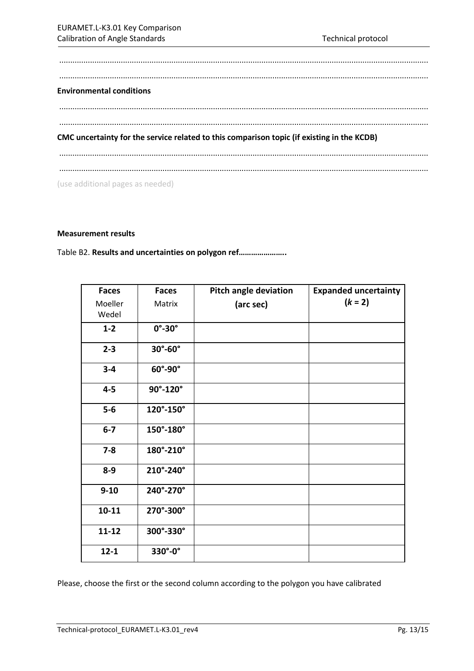| <b>Environmental conditions</b> |                                                                                            |  |  |
|---------------------------------|--------------------------------------------------------------------------------------------|--|--|
|                                 |                                                                                            |  |  |
|                                 |                                                                                            |  |  |
|                                 | CMC uncertainty for the service related to this comparison topic (if existing in the KCDB) |  |  |
|                                 |                                                                                            |  |  |

#### **Measurement results**

Table B2. **Results and uncertainties on polygon ref…………………..**

| <b>Faces</b>     | <b>Faces</b>            | <b>Pitch angle deviation</b> | <b>Expanded uncertainty</b> |
|------------------|-------------------------|------------------------------|-----------------------------|
| Moeller<br>Wedel | Matrix                  | (arc sec)                    | $(k = 2)$                   |
| $1 - 2$          | $0^\circ$ -30 $^\circ$  |                              |                             |
| $2 - 3$          | $30^\circ - 60^\circ$   |                              |                             |
| $3 - 4$          | $60^\circ$ -90 $^\circ$ |                              |                             |
| $4 - 5$          | 90°-120°                |                              |                             |
| $5-6$            | 120°-150°               |                              |                             |
| $6-7$            | $150^\circ - 180^\circ$ |                              |                             |
| $7 - 8$          | 180°-210°               |                              |                             |
| $8-9$            | 210°-240°               |                              |                             |
| $9 - 10$         | 240°-270°               |                              |                             |
| $10 - 11$        | 270°-300°               |                              |                             |
| $11 - 12$        | 300°-330°               |                              |                             |
| $12 - 1$         | 330°-0°                 |                              |                             |

Please, choose the first or the second column according to the polygon you have calibrated